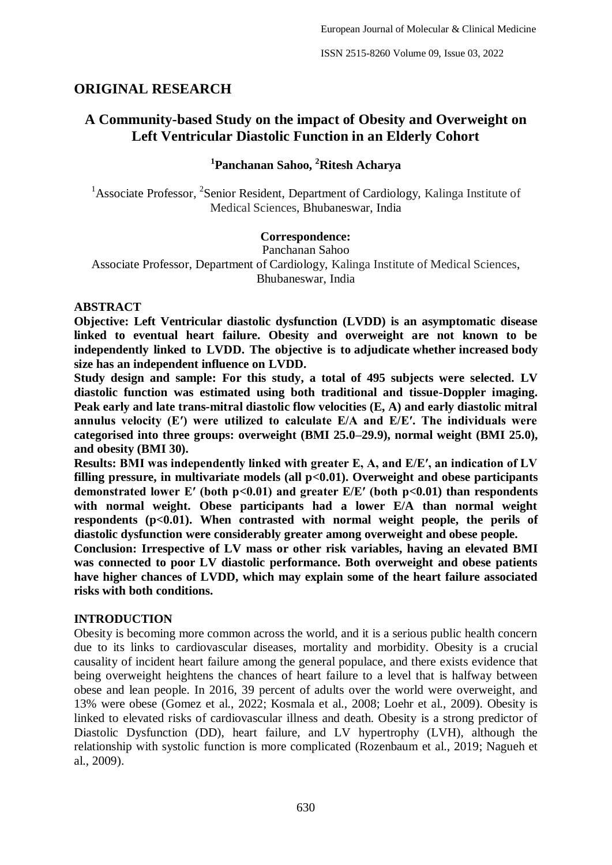ISSN 2515-8260 Volume 09, Issue 03, 2022

# **ORIGINAL RESEARCH**

# **A Community-based Study on the impact of Obesity and Overweight on Left Ventricular Diastolic Function in an Elderly Cohort**

## **1 Panchanan Sahoo, <sup>2</sup>Ritesh Acharya**

<sup>1</sup> Associate Professor, <sup>2</sup> Senior Resident, Department of Cardiology, Kalinga Institute of Medical Sciences, Bhubaneswar, India

#### **Correspondence:**

Panchanan Sahoo Associate Professor, Department of Cardiology, Kalinga Institute of Medical Sciences, Bhubaneswar, India

#### **ABSTRACT**

**Objective: Left Ventricular diastolic dysfunction (LVDD) is an asymptomatic disease linked to eventual heart failure. Obesity and overweight are not known to be independently linked to LVDD. The objective is to adjudicate whether increased body size has an independent influence on LVDD.**

**Study design and sample: For this study, a total of 495 subjects were selected. LV diastolic function was estimated using both traditional and tissue-Doppler imaging. Peak early and late trans-mitral diastolic flow velocities (E, A) and early diastolic mitral annulus velocity (E′) were utilized to calculate E/A and E/E′. The individuals were categorised into three groups: overweight (BMI 25.0–29.9), normal weight (BMI 25.0), and obesity (BMI 30).**

**Results: BMI was independently linked with greater E, A, and E/E′, an indication of LV filling pressure, in multivariate models (all p<0.01). Overweight and obese participants demonstrated lower E′ (both p<0.01) and greater E/E′ (both p<0.01) than respondents with normal weight. Obese participants had a lower E/A than normal weight respondents (p<0.01). When contrasted with normal weight people, the perils of diastolic dysfunction were considerably greater among overweight and obese people.**

**Conclusion: Irrespective of LV mass or other risk variables, having an elevated BMI was connected to poor LV diastolic performance. Both overweight and obese patients have higher chances of LVDD, which may explain some of the heart failure associated risks with both conditions.**

#### **INTRODUCTION**

Obesity is becoming more common across the world, and it is a serious public health concern due to its links to cardiovascular diseases, mortality and morbidity. Obesity is a crucial causality of incident heart failure among the general populace, and there exists evidence that being overweight heightens the chances of heart failure to a level that is halfway between obese and lean people. In 2016, 39 percent of adults over the world were overweight, and 13% were obese (Gomez et al., 2022; Kosmala et al., 2008; Loehr et al., 2009). Obesity is linked to elevated risks of cardiovascular illness and death. Obesity is a strong predictor of Diastolic Dysfunction (DD), heart failure, and LV hypertrophy (LVH), although the relationship with systolic function is more complicated (Rozenbaum et al., 2019; Nagueh et al., 2009).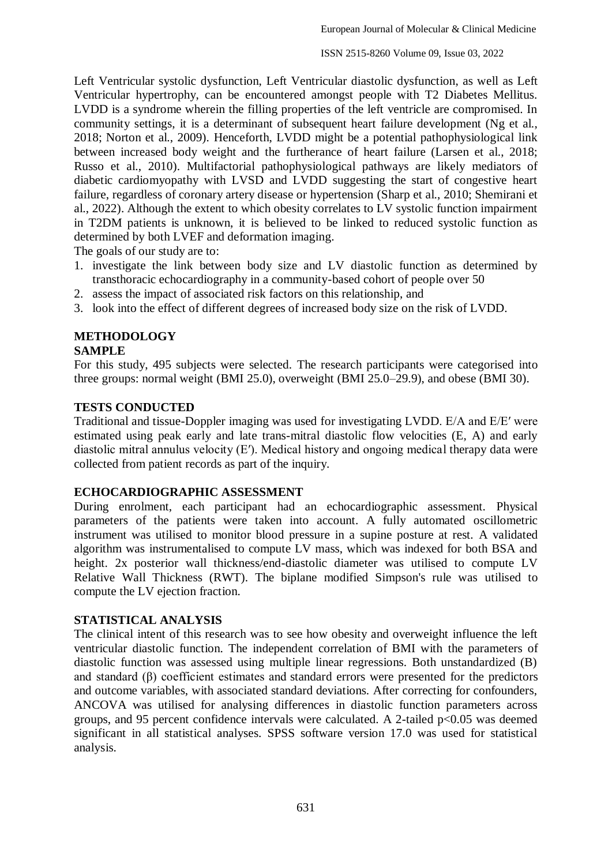Left Ventricular systolic dysfunction, Left Ventricular diastolic dysfunction, as well as Left Ventricular hypertrophy, can be encountered amongst people with T2 Diabetes Mellitus. LVDD is a syndrome wherein the filling properties of the left ventricle are compromised. In community settings, it is a determinant of subsequent heart failure development (Ng et al., 2018; Norton et al., 2009). Henceforth, LVDD might be a potential pathophysiological link between increased body weight and the furtherance of heart failure (Larsen et al., 2018; Russo et al., 2010). Multifactorial pathophysiological pathways are likely mediators of diabetic cardiomyopathy with LVSD and LVDD suggesting the start of congestive heart failure, regardless of coronary artery disease or hypertension (Sharp et al., 2010; Shemirani et al., 2022). Although the extent to which obesity correlates to LV systolic function impairment in T2DM patients is unknown, it is believed to be linked to reduced systolic function as determined by both LVEF and deformation imaging.

The goals of our study are to:

- 1. investigate the link between body size and LV diastolic function as determined by transthoracic echocardiography in a community-based cohort of people over 50
- 2. assess the impact of associated risk factors on this relationship, and
- 3. look into the effect of different degrees of increased body size on the risk of LVDD.

# **METHODOLOGY**

# **SAMPLE**

For this study, 495 subjects were selected. The research participants were categorised into three groups: normal weight (BMI 25.0), overweight (BMI 25.0–29.9), and obese (BMI 30).

#### **TESTS CONDUCTED**

Traditional and tissue-Doppler imaging was used for investigating LVDD. E/A and E/E′ were estimated using peak early and late trans-mitral diastolic flow velocities (E, A) and early diastolic mitral annulus velocity (E′). Medical history and ongoing medical therapy data were collected from patient records as part of the inquiry.

#### **ECHOCARDIOGRAPHIC ASSESSMENT**

During enrolment, each participant had an echocardiographic assessment. Physical parameters of the patients were taken into account. A fully automated oscillometric instrument was utilised to monitor blood pressure in a supine posture at rest. A validated algorithm was instrumentalised to compute LV mass, which was indexed for both BSA and height. 2x posterior wall thickness/end-diastolic diameter was utilised to compute LV Relative Wall Thickness (RWT). The biplane modified Simpson's rule was utilised to compute the LV ejection fraction.

#### **STATISTICAL ANALYSIS**

The clinical intent of this research was to see how obesity and overweight influence the left ventricular diastolic function. The independent correlation of BMI with the parameters of diastolic function was assessed using multiple linear regressions. Both unstandardized (B) and standard (β) coefficient estimates and standard errors were presented for the predictors and outcome variables, with associated standard deviations. After correcting for confounders, ANCOVA was utilised for analysing differences in diastolic function parameters across groups, and 95 percent confidence intervals were calculated. A 2-tailed  $p<0.05$  was deemed significant in all statistical analyses. SPSS software version 17.0 was used for statistical analysis.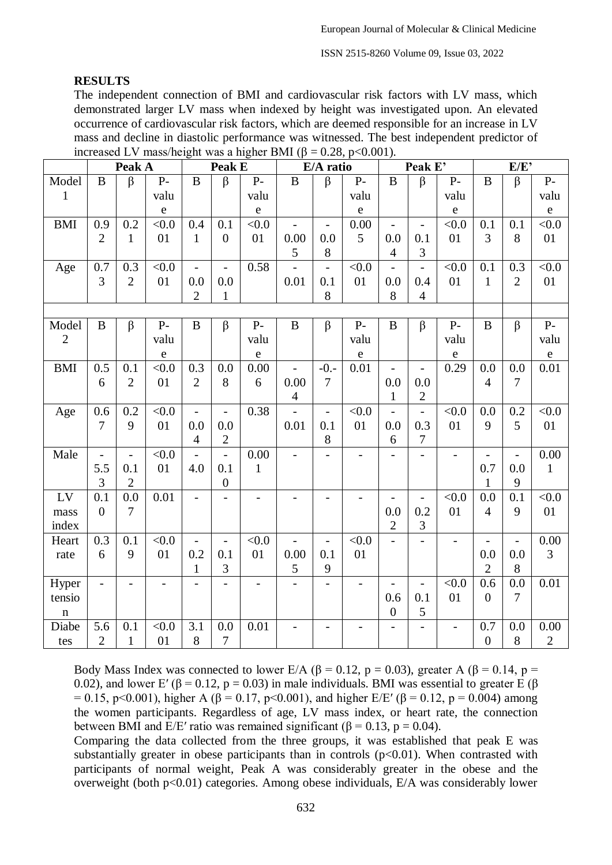ISSN 2515-8260 Volume 09, Issue 03, 2022

#### **RESULTS**

The independent connection of BMI and cardiovascular risk factors with LV mass, which demonstrated larger LV mass when indexed by height was investigated upon. An elevated occurrence of cardiovascular risk factors, which are deemed responsible for an increase in LV mass and decline in diastolic performance was witnessed. The best independent predictor of increased LV mass/height was a higher BMI (β = 0.28, p<0.001).

|                | Peak A                   |                          | Peak E                   |                          |                                 | E/A ratio                |                |                          | Peak E'                  |                          |                          | E/E               |                   |                          |              |
|----------------|--------------------------|--------------------------|--------------------------|--------------------------|---------------------------------|--------------------------|----------------|--------------------------|--------------------------|--------------------------|--------------------------|-------------------|-------------------|--------------------------|--------------|
| Model          | $\bf{B}$                 | $\beta$                  | $P-$                     | B                        | $\beta$                         | $P-$                     | $\bf{B}$       | $\beta$                  | $P-$                     | $\mathbf{B}$             | $\beta$                  | $P-$              | $\bf{B}$          | $\beta$                  | $P-$         |
| $\mathbf{1}$   |                          |                          | valu                     |                          |                                 | valu                     |                |                          | valu                     |                          |                          | valu              |                   |                          | valu         |
|                |                          |                          | $\mathbf e$              |                          |                                 | ${\bf e}$                |                |                          | $\mathbf e$              |                          |                          | ${\bf e}$         |                   |                          | ${\bf e}$    |
| <b>BMI</b>     | 0.9                      | 0.2                      | < 0.0                    | 0.4                      | 0.1                             | < 0.0                    |                | $\overline{\phantom{a}}$ | 0.00                     | $\overline{\phantom{0}}$ | $\overline{\phantom{m}}$ | < 0.0             | 0.1               | 0.1                      | < 0.0        |
|                | $\overline{2}$           | $\mathbf{1}$             | 01                       | $\mathbf{1}$             | $\boldsymbol{0}$                | 01                       | 0.00           | 0.0                      | 5                        | 0.0                      | 0.1                      | 01                | 3                 | 8                        | 01           |
|                |                          |                          |                          |                          |                                 |                          | 5              | 8                        |                          | $\overline{4}$           | 3                        |                   |                   |                          |              |
| Age            | 0.7                      | 0.3                      | $<0.0$                   | $\overline{a}$           | $\overline{\phantom{a}}$        | 0.58                     |                | $\qquad \qquad -$        | < 0.0                    | $\overline{\phantom{0}}$ | $\overline{\phantom{0}}$ | < 0.0             | 0.1               | 0.3                      | < 0.0        |
|                | 3                        | $\overline{2}$           | 01                       | 0.0                      | 0.0                             |                          | 0.01           | 0.1                      | 01                       | 0.0                      | 0.4                      | 01                | $\mathbf{1}$      | $\overline{2}$           | 01           |
|                |                          |                          |                          | $\mathfrak{2}$           | $\mathbf{1}$                    |                          |                | 8                        |                          | 8                        | $\overline{4}$           |                   |                   |                          |              |
|                |                          |                          |                          |                          |                                 |                          |                |                          |                          |                          |                          |                   |                   |                          |              |
| Model          | $\bf{B}$                 | $\beta$                  | $P-$                     | B                        | $\beta$                         | $P-$                     | $\bf{B}$       | $\beta$                  | $P-$                     | $\bf{B}$                 | $\beta$                  | $P-$              | B                 | $\beta$                  | $P-$         |
| $\overline{2}$ |                          |                          | valu                     |                          |                                 | valu                     |                |                          | valu                     |                          |                          | valu              |                   |                          | valu         |
|                |                          |                          | $\mathbf e$              |                          |                                 | ${\bf e}$                |                |                          | $\mathbf e$              |                          |                          | $\mathbf e$       |                   |                          | ${\bf e}$    |
| <b>BMI</b>     | 0.5                      | 0.1                      | < 0.0                    | 0.3                      | 0.0                             | 0.00                     | $\overline{a}$ | $-0.$                    | 0.01                     | $\overline{\phantom{a}}$ | $\overline{\phantom{a}}$ | 0.29              | 0.0               | 0.0                      | $0.01\,$     |
|                | 6                        | $\overline{2}$           | 01                       | $\overline{2}$           | 8                               | 6                        | 0.00           | $\overline{7}$           |                          | 0.0                      | 0.0                      |                   | $\overline{4}$    | $\overline{7}$           |              |
|                |                          |                          |                          |                          |                                 |                          | $\overline{4}$ |                          |                          | $\mathbf{1}$             | $\overline{c}$           |                   |                   |                          |              |
| Age            | 0.6<br>$\overline{7}$    | 0.2<br>9                 | < 0.0<br>01              | $\blacksquare$           | $\Box$                          | 0.38                     |                | $\blacksquare$           | $<0.0$<br>01             | $\overline{a}$           | $\overline{a}$           | < 0.0<br>01       | 0.0<br>9          | 0.2<br>5                 | < 0.0        |
|                |                          |                          |                          | 0.0<br>$\overline{4}$    | 0.0<br>$\mathbf{2}$             |                          | 0.01           | 0.1<br>8                 |                          | 0.0<br>6                 | 0.3<br>7                 |                   |                   |                          | 01           |
| Male           |                          | $\overline{\phantom{a}}$ | < 0.0                    |                          |                                 | 0.00                     |                |                          |                          |                          |                          |                   |                   | $\overline{a}$           | 0.00         |
|                | 5.5                      | 0.1                      | 01                       | 4.0                      | $\overline{\phantom{a}}$<br>0.1 | $\mathbf{1}$             |                |                          |                          |                          | $\overline{\phantom{0}}$ | $\qquad \qquad -$ | 0.7               | 0.0                      | $\mathbf{1}$ |
|                | 3                        | $\overline{2}$           |                          |                          | $\boldsymbol{0}$                |                          |                |                          |                          |                          |                          |                   | $\mathbf{1}$      | 9                        |              |
| LV             | 0.1                      | 0.0                      | 0.01                     | $\overline{a}$           |                                 |                          |                | $\overline{a}$           | $\overline{a}$           | $\overline{a}$           | $\frac{1}{2}$            | < 0.0             | 0.0               | 0.1                      | < 0.0        |
| mass           | $\overline{0}$           | $\tau$                   |                          |                          |                                 |                          |                |                          |                          | 0.0                      | 0.2                      | 01                | $\overline{4}$    | 9                        | 01           |
| index          |                          |                          |                          |                          |                                 |                          |                |                          |                          | $\overline{c}$           | $\mathfrak{Z}$           |                   |                   |                          |              |
| Heart          | 0.3                      | 0.1                      | < 0.0                    | $\qquad \qquad -$        | $\overline{\phantom{a}}$        | < 0.0                    |                | $\qquad \qquad -$        | $<0.0$                   |                          | $\overline{\phantom{0}}$ |                   | $\qquad \qquad -$ | $\overline{\phantom{0}}$ | 0.00         |
| rate           | 6                        | 9                        | 01                       | 0.2                      | 0.1                             | 01                       | 0.00           | 0.1                      | 01                       |                          |                          |                   | 0.0               | 0.0                      | 3            |
|                |                          |                          |                          | $\mathbf{1}$             | $\mathfrak{Z}$                  |                          | $\sqrt{5}$     | 9                        |                          |                          |                          |                   | $\mathbf{2}$      | $8\,$                    |              |
| Hyper          | $\overline{\phantom{0}}$ | $\overline{\phantom{a}}$ | $\overline{\phantom{0}}$ | $\overline{\phantom{0}}$ | $\overline{\phantom{0}}$        | $\overline{\phantom{0}}$ |                | $\overline{a}$           | $\overline{\phantom{0}}$ | $\overline{\phantom{0}}$ | $\overline{\phantom{0}}$ | < 0.0             | 0.6               | 0.0                      | 0.01         |
| tensio         |                          |                          |                          |                          |                                 |                          |                |                          |                          | 0.6                      | 0.1                      | 01                | $\overline{0}$    | $\overline{7}$           |              |
| $\mathbf n$    |                          |                          |                          |                          |                                 |                          |                |                          |                          | $\boldsymbol{0}$         | 5                        |                   |                   |                          |              |
| Diabe          | 5.6                      | 0.1                      | < 0.0                    | 3.1                      | 0.0                             | 0.01                     |                |                          |                          | $\overline{\phantom{a}}$ | $\overline{\phantom{0}}$ | $\qquad \qquad -$ | 0.7               | 0.0                      | 0.00         |
| tes            | $\overline{2}$           | $\mathbf{1}$             | 01                       | $8\,$                    | 7                               |                          |                |                          |                          |                          |                          |                   | $\boldsymbol{0}$  | $8\,$                    | $\mathbf{2}$ |

Body Mass Index was connected to lower E/A ( $\beta$  = 0.12, p = 0.03), greater A ( $\beta$  = 0.14, p = 0.02), and lower E' ( $\beta$  = 0.12, p = 0.03) in male individuals. BMI was essential to greater E ( $\beta$  $= 0.15$ , p<0.001), higher A (β = 0.17, p<0.001), and higher E/E' (β = 0.12, p = 0.004) among the women participants. Regardless of age, LV mass index, or heart rate, the connection between BMI and  $E/E'$  ratio was remained significant ( $\beta = 0.13$ ,  $p = 0.04$ ).

Comparing the data collected from the three groups, it was established that peak E was substantially greater in obese participants than in controls  $(p<0.01)$ . When contrasted with participants of normal weight, Peak A was considerably greater in the obese and the overweight (both p<0.01) categories. Among obese individuals, E/A was considerably lower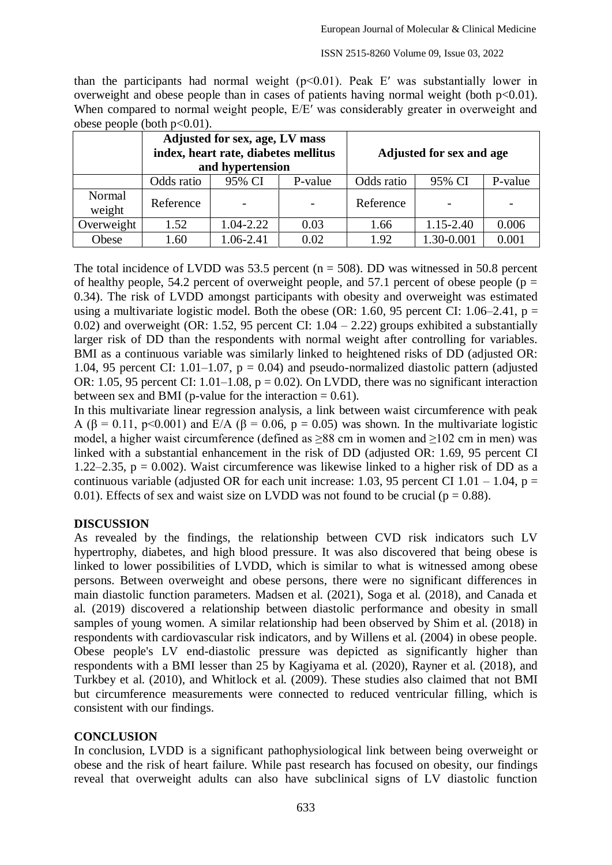than the participants had normal weight  $(p<0.01)$ . Peak E' was substantially lower in overweight and obese people than in cases of patients having normal weight (both  $p<0.01$ ). When compared to normal weight people,  $E/E'$  was considerably greater in overweight and obese people (both  $p<0.01$ ).

|                  |            | Adjusted for sex, age, LV mass<br>index, heart rate, diabetes mellitus<br>and hypertension |         | Adjusted for sex and age |               |         |  |  |
|------------------|------------|--------------------------------------------------------------------------------------------|---------|--------------------------|---------------|---------|--|--|
|                  | Odds ratio | 95% CI                                                                                     | P-value | Odds ratio               | 95% CI        | P-value |  |  |
| Normal<br>weight | Reference  |                                                                                            |         | Reference                |               |         |  |  |
| Overweight       | 1.52       | 1.04-2.22                                                                                  | 0.03    | 1.66                     | $1.15 - 2.40$ | 0.006   |  |  |
| Obese            | .60        | 1.06-2.41                                                                                  | 0.02    | 1.92                     | 1.30-0.001    | 0.001   |  |  |

The total incidence of LVDD was 53.5 percent ( $n = 508$ ). DD was witnessed in 50.8 percent of healthy people, 54.2 percent of overweight people, and 57.1 percent of obese people ( $p =$ 0.34). The risk of LVDD amongst participants with obesity and overweight was estimated using a multivariate logistic model. Both the obese (OR: 1.60, 95 percent CI: 1.06–2.41,  $p =$ 0.02) and overweight (OR: 1.52, 95 percent CI:  $1.04 - 2.22$ ) groups exhibited a substantially larger risk of DD than the respondents with normal weight after controlling for variables. BMI as a continuous variable was similarly linked to heightened risks of DD (adjusted OR: 1.04, 95 percent CI: 1.01–1.07,  $p = 0.04$ ) and pseudo-normalized diastolic pattern (adjusted OR: 1.05, 95 percent CI: 1.01–1.08,  $p = 0.02$ ). On LVDD, there was no significant interaction between sex and BMI (p-value for the interaction  $= 0.61$ ).

In this multivariate linear regression analysis, a link between waist circumference with peak A ( $\beta$  = 0.11, p<0.001) and E/A ( $\beta$  = 0.06, p = 0.05) was shown. In the multivariate logistic model, a higher waist circumference (defined as  $\geq 88$  cm in women and  $\geq 102$  cm in men) was linked with a substantial enhancement in the risk of DD (adjusted OR: 1.69, 95 percent CI 1.22–2.35,  $p = 0.002$ ). Waist circumference was likewise linked to a higher risk of DD as a continuous variable (adjusted OR for each unit increase: 1.03, 95 percent CI 1.01 – 1.04,  $p =$ 0.01). Effects of sex and waist size on LVDD was not found to be crucial ( $p = 0.88$ ).

## **DISCUSSION**

As revealed by the findings, the relationship between CVD risk indicators such LV hypertrophy, diabetes, and high blood pressure. It was also discovered that being obese is linked to lower possibilities of LVDD, which is similar to what is witnessed among obese persons. Between overweight and obese persons, there were no significant differences in main diastolic function parameters. Madsen et al. (2021), Soga et al. (2018), and Canada et al. (2019) discovered a relationship between diastolic performance and obesity in small samples of young women. A similar relationship had been observed by Shim et al. (2018) in respondents with cardiovascular risk indicators, and by Willens et al. (2004) in obese people. Obese people's LV end-diastolic pressure was depicted as significantly higher than respondents with a BMI lesser than 25 by Kagiyama et al. (2020), Rayner et al. (2018), and Turkbey et al. (2010), and Whitlock et al. (2009). These studies also claimed that not BMI but circumference measurements were connected to reduced ventricular filling, which is consistent with our findings.

## **CONCLUSION**

In conclusion, LVDD is a significant pathophysiological link between being overweight or obese and the risk of heart failure. While past research has focused on obesity, our findings reveal that overweight adults can also have subclinical signs of LV diastolic function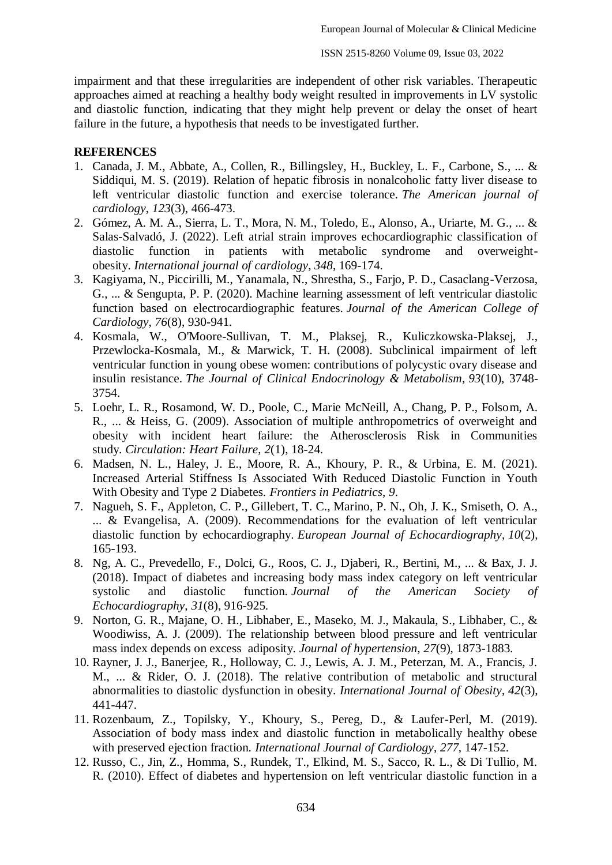impairment and that these irregularities are independent of other risk variables. Therapeutic approaches aimed at reaching a healthy body weight resulted in improvements in LV systolic and diastolic function, indicating that they might help prevent or delay the onset of heart failure in the future, a hypothesis that needs to be investigated further.

#### **REFERENCES**

- 1. Canada, J. M., Abbate, A., Collen, R., Billingsley, H., Buckley, L. F., Carbone, S., ... & Siddiqui, M. S. (2019). Relation of hepatic fibrosis in nonalcoholic fatty liver disease to left ventricular diastolic function and exercise tolerance. *The American journal of cardiology*, *123*(3), 466-473.
- 2. Gómez, A. M. A., Sierra, L. T., Mora, N. M., Toledo, E., Alonso, A., Uriarte, M. G., ... & Salas-Salvadó, J. (2022). Left atrial strain improves echocardiographic classification of diastolic function in patients with metabolic syndrome and overweightobesity. *International journal of cardiology*, *348*, 169-174.
- 3. Kagiyama, N., Piccirilli, M., Yanamala, N., Shrestha, S., Farjo, P. D., Casaclang-Verzosa, G., ... & Sengupta, P. P. (2020). Machine learning assessment of left ventricular diastolic function based on electrocardiographic features. *Journal of the American College of Cardiology*, *76*(8), 930-941.
- 4. Kosmala, W., O'Moore-Sullivan, T. M., Plaksej, R., Kuliczkowska-Plaksej, J., Przewlocka-Kosmala, M., & Marwick, T. H. (2008). Subclinical impairment of left ventricular function in young obese women: contributions of polycystic ovary disease and insulin resistance. *The Journal of Clinical Endocrinology & Metabolism*, *93*(10), 3748- 3754.
- 5. Loehr, L. R., Rosamond, W. D., Poole, C., Marie McNeill, A., Chang, P. P., Folsom, A. R., ... & Heiss, G. (2009). Association of multiple anthropometrics of overweight and obesity with incident heart failure: the Atherosclerosis Risk in Communities study. *Circulation: Heart Failure*, *2*(1), 18-24.
- 6. Madsen, N. L., Haley, J. E., Moore, R. A., Khoury, P. R., & Urbina, E. M. (2021). Increased Arterial Stiffness Is Associated With Reduced Diastolic Function in Youth With Obesity and Type 2 Diabetes. *Frontiers in Pediatrics*, *9*.
- 7. Nagueh, S. F., Appleton, C. P., Gillebert, T. C., Marino, P. N., Oh, J. K., Smiseth, O. A., ... & Evangelisa, A. (2009). Recommendations for the evaluation of left ventricular diastolic function by echocardiography. *European Journal of Echocardiography*, *10*(2), 165-193.
- 8. Ng, A. C., Prevedello, F., Dolci, G., Roos, C. J., Djaberi, R., Bertini, M., ... & Bax, J. J. (2018). Impact of diabetes and increasing body mass index category on left ventricular systolic and diastolic function. *Journal of the American Society of Echocardiography*, *31*(8), 916-925.
- 9. Norton, G. R., Majane, O. H., Libhaber, E., Maseko, M. J., Makaula, S., Libhaber, C., & Woodiwiss, A. J. (2009). The relationship between blood pressure and left ventricular mass index depends on excess adiposity. *Journal of hypertension*, *27*(9), 1873-1883.
- 10. Rayner, J. J., Banerjee, R., Holloway, C. J., Lewis, A. J. M., Peterzan, M. A., Francis, J. M., ... & Rider, O. J. (2018). The relative contribution of metabolic and structural abnormalities to diastolic dysfunction in obesity. *International Journal of Obesity*, *42*(3), 441-447.
- 11. Rozenbaum, Z., Topilsky, Y., Khoury, S., Pereg, D., & Laufer-Perl, M. (2019). Association of body mass index and diastolic function in metabolically healthy obese with preserved ejection fraction. *International Journal of Cardiology*, *277*, 147-152.
- 12. Russo, C., Jin, Z., Homma, S., Rundek, T., Elkind, M. S., Sacco, R. L., & Di Tullio, M. R. (2010). Effect of diabetes and hypertension on left ventricular diastolic function in a